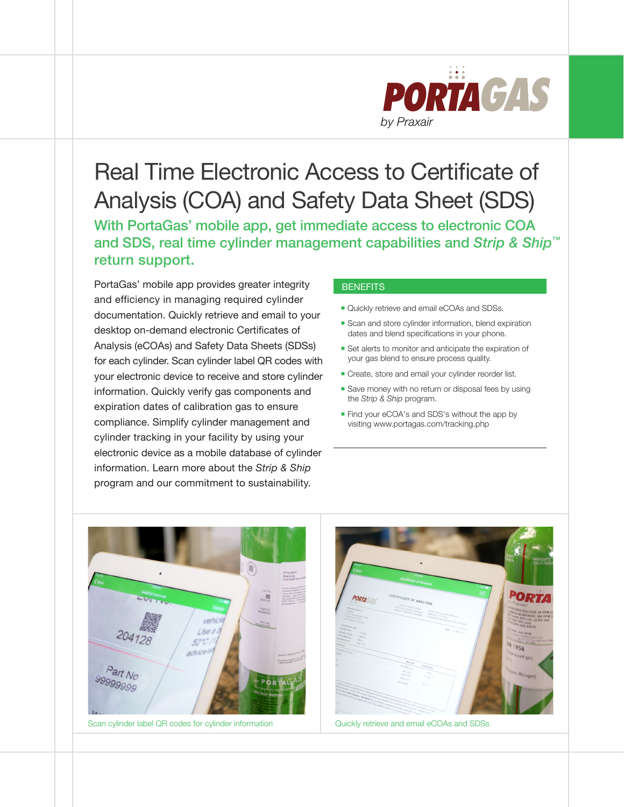

## Real Time Electronic Access to Certificate of Analysis (COA) and Safety Data Sheet (SDS)

With PortaGas' mobile app, get immediate access to electronic COA and SDS, real time cylinder management capabilities and *Strip & Ship™* return support.

PortaGas' mobile app provides greater integrity and efficiency in managing required cylinder documentation. Quickly retrieve and email to your desktop on-demand electronic Certificates of Analysis (eCOAs) and Safety Data Sheets (SDSs) for each cylinder. Scan cylinder label QR codes with your electronic device to receive and store cylinder information. Quickly verify gas components and expiration dates of calibration gas to ensure compliance. Simplify cylinder management and cylinder tracking in your facility by using your electronic device as a mobile database of cylinder information. Learn more about the *Strip & Ship* program and our commitment to sustainability.

#### **BENEFITS**

- **Quickly retrieve and email eCOAs and SDSs.**
- Scan and store cylinder information, blend expiration dates and blend specifications in your phone.
- **Set alerts to monitor and anticipate the expiration of** your gas blend to ensure process quality.
- **Create, store and email your cylinder reorder list.**
- Save money with no return or disposal fees by using the *Strip & Ship* program.
- **Find your eCOA's and SDS's without the app by** visiting www.portagas.com/tracking.php